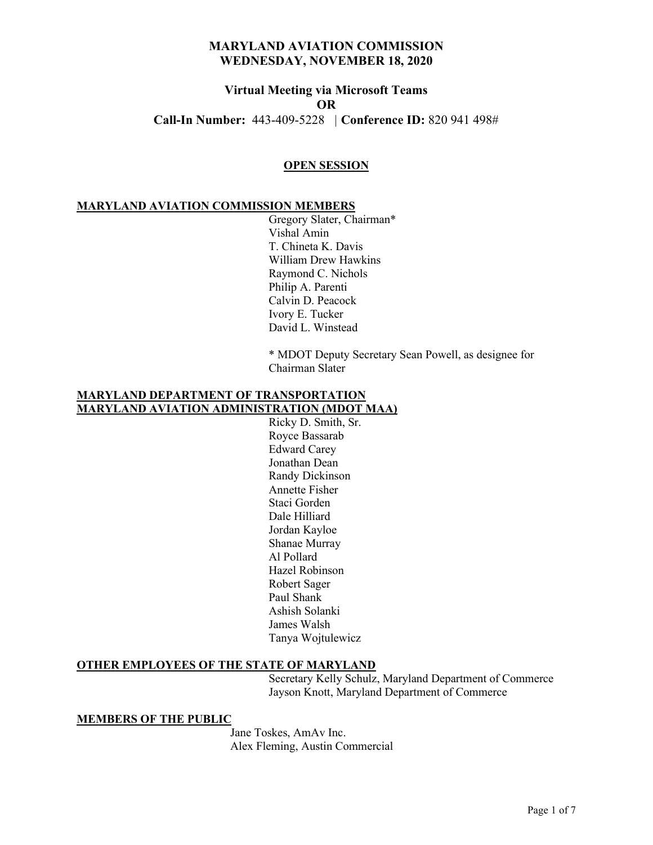# **Virtual Meeting via Microsoft Teams OR Call-In Number:** 443-409-5228 *|* **Conference ID:** 820 941 498#

#### **OPEN SESSION**

#### **MARYLAND AVIATION COMMISSION MEMBERS**

Gregory Slater, Chairman\* Vishal Amin T. Chineta K. Davis William Drew Hawkins Raymond C. Nichols Philip A. Parenti Calvin D. Peacock Ivory E. Tucker David L. Winstead

\* MDOT Deputy Secretary Sean Powell, as designee for Chairman Slater

## **MARYLAND DEPARTMENT OF TRANSPORTATION MARYLAND AVIATION ADMINISTRATION (MDOT MAA)**

Ricky D. Smith, Sr. Royce Bassarab Edward Carey Jonathan Dean Randy Dickinson Annette Fisher Staci Gorden Dale Hilliard Jordan Kayloe Shanae Murray Al Pollard Hazel Robinson Robert Sager Paul Shank Ashish Solanki James Walsh Tanya Wojtulewicz

### **OTHER EMPLOYEES OF THE STATE OF MARYLAND**

Secretary Kelly Schulz, Maryland Department of Commerce Jayson Knott, Maryland Department of Commerce

#### **MEMBERS OF THE PUBLIC**

Jane Toskes, AmAv Inc. Alex Fleming, Austin Commercial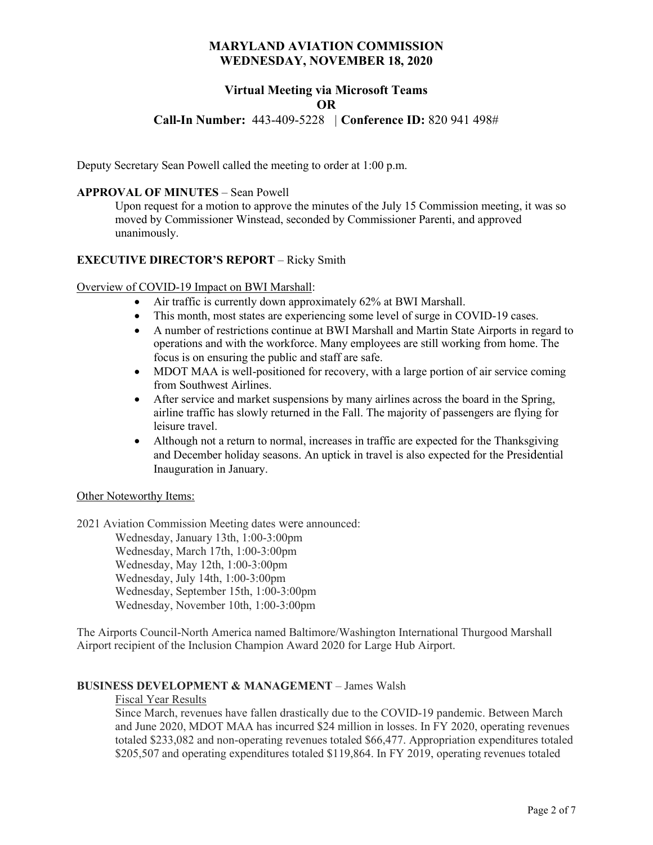# **Virtual Meeting via Microsoft Teams OR**

## **Call-In Number:** 443-409-5228 *|* **Conference ID:** 820 941 498#

Deputy Secretary Sean Powell called the meeting to order at 1:00 p.m.

#### **APPROVAL OF MINUTES** – Sean Powell

Upon request for a motion to approve the minutes of the July 15 Commission meeting, it was so moved by Commissioner Winstead, seconded by Commissioner Parenti, and approved unanimously.

### **EXECUTIVE DIRECTOR'S REPORT** – Ricky Smith

#### Overview of COVID-19 Impact on BWI Marshall:

- Air traffic is currently down approximately 62% at BWI Marshall.
- This month, most states are experiencing some level of surge in COVID-19 cases.
- A number of restrictions continue at BWI Marshall and Martin State Airports in regard to operations and with the workforce. Many employees are still working from home. The focus is on ensuring the public and staff are safe.
- MDOT MAA is well-positioned for recovery, with a large portion of air service coming from Southwest Airlines.
- After service and market suspensions by many airlines across the board in the Spring, airline traffic has slowly returned in the Fall. The majority of passengers are flying for leisure travel.
- Although not a return to normal, increases in traffic are expected for the Thanksgiving and December holiday seasons. An uptick in travel is also expected for the Presidential Inauguration in January.

#### Other Noteworthy Items:

2021 Aviation Commission Meeting dates were announced:

Wednesday, January 13th, 1:00-3:00pm Wednesday, March 17th, 1:00-3:00pm Wednesday, May 12th, 1:00-3:00pm Wednesday, July 14th, 1:00-3:00pm Wednesday, September 15th, 1:00-3:00pm Wednesday, November 10th, 1:00-3:00pm

The Airports Council-North America named Baltimore/Washington International Thurgood Marshall Airport recipient of the Inclusion Champion Award 2020 for Large Hub Airport.

#### **BUSINESS DEVELOPMENT & MANAGEMENT** – James Walsh

### Fiscal Year Results

Since March, revenues have fallen drastically due to the COVID-19 pandemic. Between March and June 2020, MDOT MAA has incurred \$24 million in losses. In FY 2020, operating revenues totaled \$233,082 and non-operating revenues totaled \$66,477. Appropriation expenditures totaled \$205,507 and operating expenditures totaled \$119,864. In FY 2019, operating revenues totaled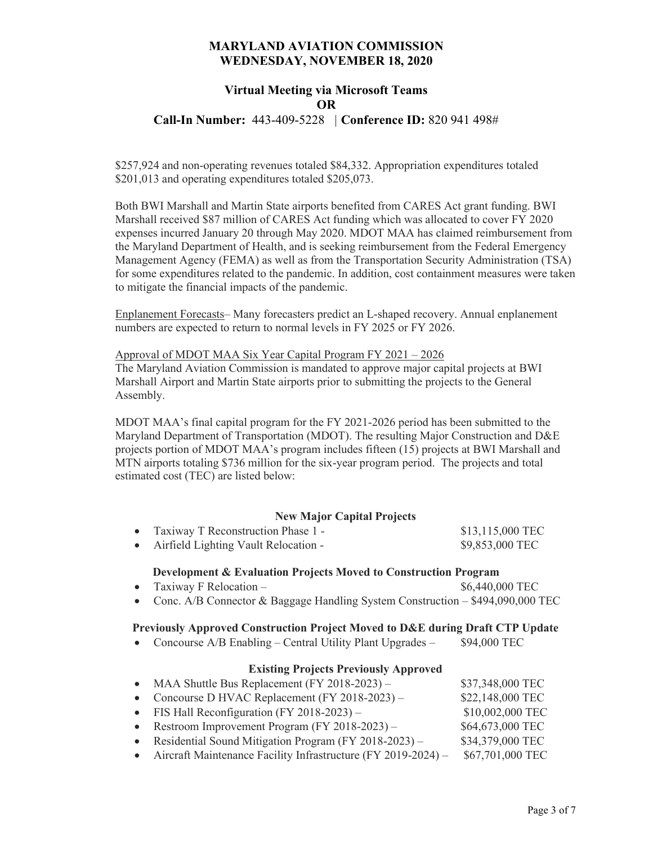# **Virtual Meeting via Microsoft Teams OR**

**Call-In Number:** 443-409-5228 *|* **Conference ID:** 820 941 498#

\$257,924 and non-operating revenues totaled \$84,332. Appropriation expenditures totaled \$201,013 and operating expenditures totaled \$205,073.

Both BWI Marshall and Martin State airports benefited from CARES Act grant funding. BWI Marshall received \$87 million of CARES Act funding which was allocated to cover FY 2020 expenses incurred January 20 through May 2020. MDOT MAA has claimed reimbursement from the Maryland Department of Health, and is seeking reimbursement from the Federal Emergency Management Agency (FEMA) as well as from the Transportation Security Administration (TSA) for some expenditures related to the pandemic. In addition, cost containment measures were taken to mitigate the financial impacts of the pandemic.

Enplanement Forecasts– Many forecasters predict an L-shaped recovery. Annual enplanement numbers are expected to return to normal levels in FY 2025 or FY 2026.

#### Approval of MDOT MAA Six Year Capital Program FY 2021 – 2026

The Maryland Aviation Commission is mandated to approve major capital projects at BWI Marshall Airport and Martin State airports prior to submitting the projects to the General Assembly.

MDOT MAA's final capital program for the FY 2021-2026 period has been submitted to the Maryland Department of Transportation (MDOT). The resulting Major Construction and D&E projects portion of MDOT MAA's program includes fifteen (15) projects at BWI Marshall and MTN airports totaling \$736 million for the six-year program period. The projects and total estimated cost (TEC) are listed below:

### **New Major Capital Projects**

| • Taxiway T Reconstruction Phase 1 -   | \$13,115,000 TEC |
|----------------------------------------|------------------|
| • Airfield Lighting Vault Relocation - | \$9,853,000 TEC  |

#### **Development & Evaluation Projects Moved to Construction Program**

- Taxiway F Relocation  $$6,440,000$  TEC
- Conc. A/B Connector & Baggage Handling System Construction \$494,090,000 TEC

#### **Previously Approved Construction Project Moved to D&E during Draft CTP Update**

• Concourse A/B Enabling – Central Utility Plant Upgrades – \$94,000 TEC

### **Existing Projects Previously Approved**

- MAA Shuttle Bus Replacement (FY 2018-2023) \$37,348,000 TEC
	- Concourse D HVAC Replacement (FY 2018-2023) \$22,148,000 TEC
- FIS Hall Reconfiguration  $(FY 2018-2023)$  \$10,002,000 TEC
	- Restroom Improvement Program  $(FY 2018-2023)$   $$64,673,000$  TEC
	- Residential Sound Mitigation Program (FY 2018-2023) \$34,379,000 TEC
	- Aircraft Maintenance Facility Infrastructure (FY 2019-2024) \$67,701,000 TEC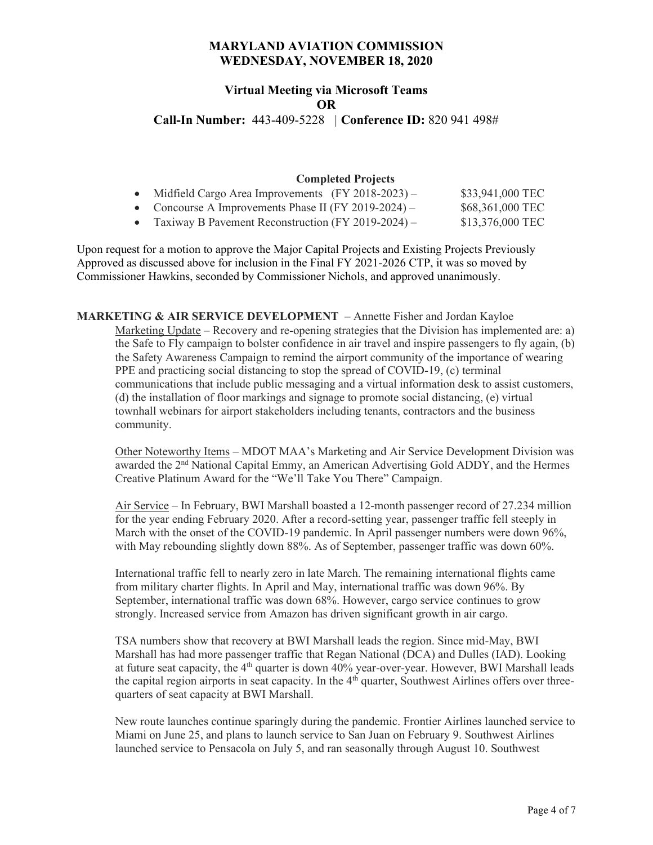# **Virtual Meeting via Microsoft Teams OR**

**Call-In Number:** 443-409-5228 *|* **Conference ID:** 820 941 498#

## **Completed Projects**

| • Midfield Cargo Area Improvements $(FY 2018-2023)$ – | \$33,941,000 TEC |
|-------------------------------------------------------|------------------|
| • Concourse A Improvements Phase II (FY 2019-2024) –  | \$68,361,000 TEC |
| • Taxiway B Pavement Reconstruction (FY 2019-2024) –  | \$13,376,000 TEC |

Upon request for a motion to approve the Major Capital Projects and Existing Projects Previously Approved as discussed above for inclusion in the Final FY 2021-2026 CTP, it was so moved by Commissioner Hawkins, seconded by Commissioner Nichols, and approved unanimously.

**MARKETING & AIR SERVICE DEVELOPMENT** – Annette Fisher and Jordan Kayloe Marketing Update – Recovery and re-opening strategies that the Division has implemented are: a) the Safe to Fly campaign to bolster confidence in air travel and inspire passengers to fly again, (b) the Safety Awareness Campaign to remind the airport community of the importance of wearing PPE and practicing social distancing to stop the spread of COVID-19, (c) terminal communications that include public messaging and a virtual information desk to assist customers, (d) the installation of floor markings and signage to promote social distancing, (e) virtual townhall webinars for airport stakeholders including tenants, contractors and the business community.

Other Noteworthy Items – MDOT MAA's Marketing and Air Service Development Division was awarded the 2nd National Capital Emmy, an American Advertising Gold ADDY, and the Hermes Creative Platinum Award for the "We'll Take You There" Campaign.

Air Service – In February, BWI Marshall boasted a 12-month passenger record of 27.234 million for the year ending February 2020. After a record-setting year, passenger traffic fell steeply in March with the onset of the COVID-19 pandemic. In April passenger numbers were down 96%, with May rebounding slightly down 88%. As of September, passenger traffic was down 60%.

International traffic fell to nearly zero in late March. The remaining international flights came from military charter flights. In April and May, international traffic was down 96%. By September, international traffic was down 68%. However, cargo service continues to grow strongly. Increased service from Amazon has driven significant growth in air cargo.

TSA numbers show that recovery at BWI Marshall leads the region. Since mid-May, BWI Marshall has had more passenger traffic that Regan National (DCA) and Dulles (IAD). Looking at future seat capacity, the  $4<sup>th</sup>$  quarter is down  $40%$  year-over-year. However, BWI Marshall leads the capital region airports in seat capacity. In the  $4<sup>th</sup>$  quarter, Southwest Airlines offers over threequarters of seat capacity at BWI Marshall.

New route launches continue sparingly during the pandemic. Frontier Airlines launched service to Miami on June 25, and plans to launch service to San Juan on February 9. Southwest Airlines launched service to Pensacola on July 5, and ran seasonally through August 10. Southwest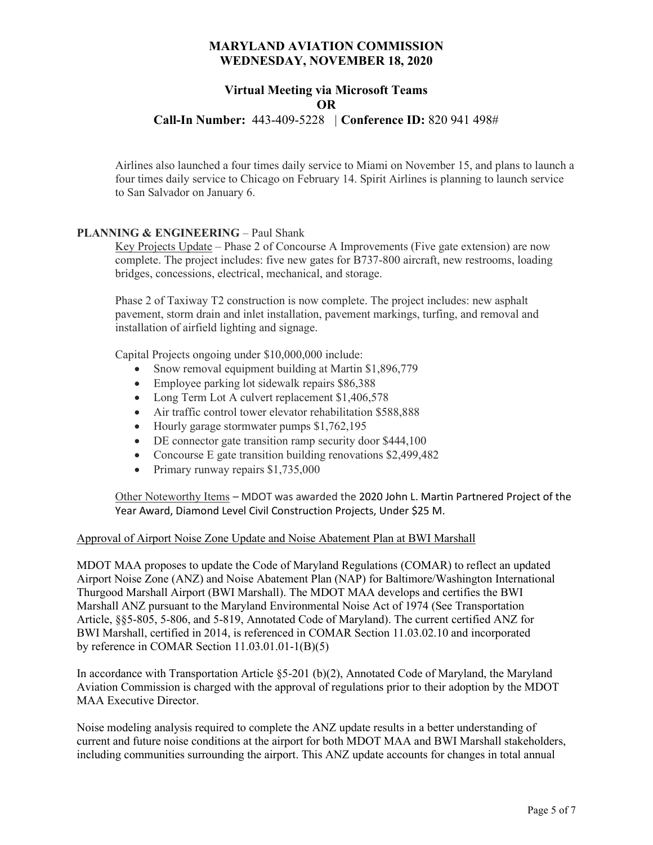# **Virtual Meeting via Microsoft Teams OR**

## **Call-In Number:** 443-409-5228 *|* **Conference ID:** 820 941 498#

Airlines also launched a four times daily service to Miami on November 15, and plans to launch a four times daily service to Chicago on February 14. Spirit Airlines is planning to launch service to San Salvador on January 6.

## **PLANNING & ENGINEERING – Paul Shank**

Key Projects Update – Phase 2 of Concourse A Improvements (Five gate extension) are now complete. The project includes: five new gates for B737-800 aircraft, new restrooms, loading bridges, concessions, electrical, mechanical, and storage.

Phase 2 of Taxiway T2 construction is now complete. The project includes: new asphalt pavement, storm drain and inlet installation, pavement markings, turfing, and removal and installation of airfield lighting and signage.

Capital Projects ongoing under \$10,000,000 include:

- Snow removal equipment building at Martin \$1,896,779
- Employee parking lot sidewalk repairs \$86,388
- Long Term Lot A culvert replacement \$1,406,578
- Air traffic control tower elevator rehabilitation \$588,888
- Hourly garage stormwater pumps \$1,762,195
- DE connector gate transition ramp security door \$444,100
- Concourse E gate transition building renovations \$2,499,482
- Primary runway repairs \$1,735,000

Other Noteworthy Items – MDOT was awarded the 2020 John L. Martin Partnered Project of the Year Award, Diamond Level Civil Construction Projects, Under \$25 M.

### Approval of Airport Noise Zone Update and Noise Abatement Plan at BWI Marshall

MDOT MAA proposes to update the Code of Maryland Regulations (COMAR) to reflect an updated Airport Noise Zone (ANZ) and Noise Abatement Plan (NAP) for Baltimore/Washington International Thurgood Marshall Airport (BWI Marshall). The MDOT MAA develops and certifies the BWI Marshall ANZ pursuant to the Maryland Environmental Noise Act of 1974 (See Transportation Article, §§5-805, 5-806, and 5-819, Annotated Code of Maryland). The current certified ANZ for BWI Marshall, certified in 2014, is referenced in COMAR Section 11.03.02.10 and incorporated by reference in COMAR Section 11.03.01.01-1(B)(5)

In accordance with Transportation Article §5-201 (b)(2), Annotated Code of Maryland, the Maryland Aviation Commission is charged with the approval of regulations prior to their adoption by the MDOT MAA Executive Director.

Noise modeling analysis required to complete the ANZ update results in a better understanding of current and future noise conditions at the airport for both MDOT MAA and BWI Marshall stakeholders, including communities surrounding the airport. This ANZ update accounts for changes in total annual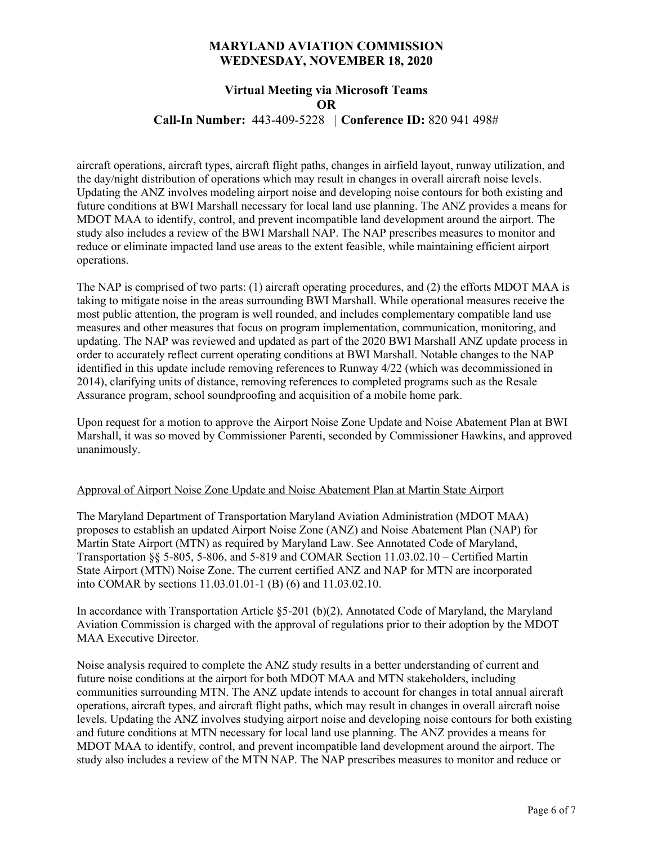## **Virtual Meeting via Microsoft Teams OR**

**Call-In Number:** 443-409-5228 *|* **Conference ID:** 820 941 498#

aircraft operations, aircraft types, aircraft flight paths, changes in airfield layout, runway utilization, and the day/night distribution of operations which may result in changes in overall aircraft noise levels. Updating the ANZ involves modeling airport noise and developing noise contours for both existing and future conditions at BWI Marshall necessary for local land use planning. The ANZ provides a means for MDOT MAA to identify, control, and prevent incompatible land development around the airport. The study also includes a review of the BWI Marshall NAP. The NAP prescribes measures to monitor and reduce or eliminate impacted land use areas to the extent feasible, while maintaining efficient airport operations.

The NAP is comprised of two parts: (1) aircraft operating procedures, and (2) the efforts MDOT MAA is taking to mitigate noise in the areas surrounding BWI Marshall. While operational measures receive the most public attention, the program is well rounded, and includes complementary compatible land use measures and other measures that focus on program implementation, communication, monitoring, and updating. The NAP was reviewed and updated as part of the 2020 BWI Marshall ANZ update process in order to accurately reflect current operating conditions at BWI Marshall. Notable changes to the NAP identified in this update include removing references to Runway 4/22 (which was decommissioned in 2014), clarifying units of distance, removing references to completed programs such as the Resale Assurance program, school soundproofing and acquisition of a mobile home park.

Upon request for a motion to approve the Airport Noise Zone Update and Noise Abatement Plan at BWI Marshall, it was so moved by Commissioner Parenti, seconded by Commissioner Hawkins, and approved unanimously.

### Approval of Airport Noise Zone Update and Noise Abatement Plan at Martin State Airport

The Maryland Department of Transportation Maryland Aviation Administration (MDOT MAA) proposes to establish an updated Airport Noise Zone (ANZ) and Noise Abatement Plan (NAP) for Martin State Airport (MTN) as required by Maryland Law. See Annotated Code of Maryland, Transportation §§ 5-805, 5-806, and 5-819 and COMAR Section 11.03.02.10 – Certified Martin State Airport (MTN) Noise Zone. The current certified ANZ and NAP for MTN are incorporated into COMAR by sections 11.03.01.01-1 (B) (6) and 11.03.02.10.

In accordance with Transportation Article §5-201 (b)(2), Annotated Code of Maryland, the Maryland Aviation Commission is charged with the approval of regulations prior to their adoption by the MDOT MAA Executive Director.

Noise analysis required to complete the ANZ study results in a better understanding of current and future noise conditions at the airport for both MDOT MAA and MTN stakeholders, including communities surrounding MTN. The ANZ update intends to account for changes in total annual aircraft operations, aircraft types, and aircraft flight paths, which may result in changes in overall aircraft noise levels. Updating the ANZ involves studying airport noise and developing noise contours for both existing and future conditions at MTN necessary for local land use planning. The ANZ provides a means for MDOT MAA to identify, control, and prevent incompatible land development around the airport. The study also includes a review of the MTN NAP. The NAP prescribes measures to monitor and reduce or